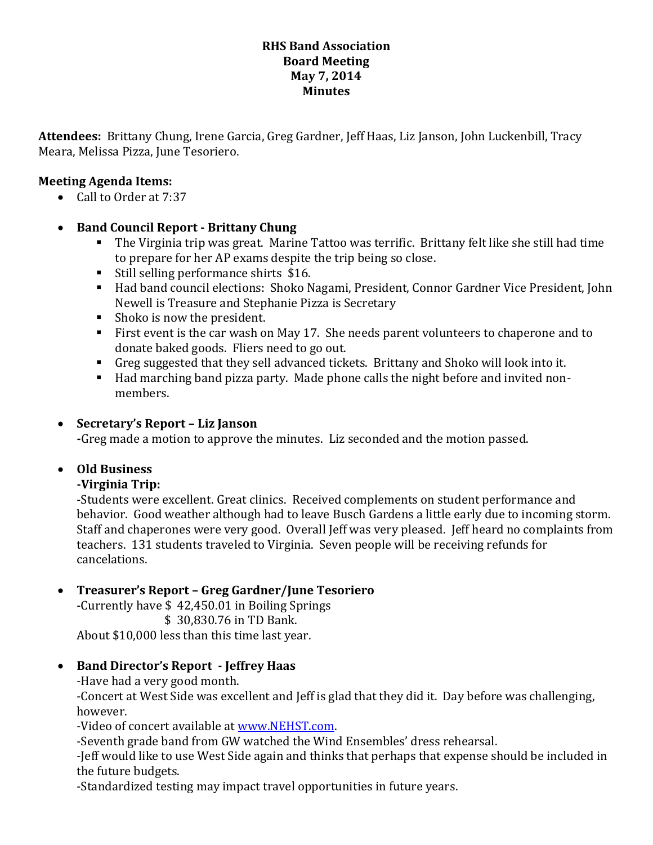#### **RHS Band Association Board Meeting May 7, 2014 Minutes**

**Attendees:** Brittany Chung, Irene Garcia, Greg Gardner, Jeff Haas, Liz Janson, John Luckenbill, Tracy Meara, Melissa Pizza, June Tesoriero.

#### **Meeting Agenda Items:**

• Call to Order at 7:37

#### **Band Council Report - Brittany Chung**

- The Virginia trip was great. Marine Tattoo was terrific. Brittany felt like she still had time to prepare for her AP exams despite the trip being so close.
- Still selling performance shirts \$16.
- Had band council elections: Shoko Nagami, President, Connor Gardner Vice President, John Newell is Treasure and Stephanie Pizza is Secretary
- Shoko is now the president.
- First event is the car wash on May 17. She needs parent volunteers to chaperone and to donate baked goods. Fliers need to go out.
- Greg suggested that they sell advanced tickets. Brittany and Shoko will look into it.
- Had marching band pizza party. Made phone calls the night before and invited nonmembers.

#### **Secretary's Report – Liz Janson**

**-**Greg made a motion to approve the minutes. Liz seconded and the motion passed.

# **Old Business**

# **-Virginia Trip:**

-Students were excellent. Great clinics. Received complements on student performance and behavior. Good weather although had to leave Busch Gardens a little early due to incoming storm. Staff and chaperones were very good. Overall Jeff was very pleased. Jeff heard no complaints from teachers. 131 students traveled to Virginia. Seven people will be receiving refunds for cancelations.

# **Treasurer's Report – Greg Gardner/June Tesoriero**

-Currently have \$ 42,450.01 in Boiling Springs \$ 30,830.76 in TD Bank. About \$10,000 less than this time last year.

#### **Band Director's Report - Jeffrey Haas**

-Have had a very good month.

-Concert at West Side was excellent and Jeff is glad that they did it. Day before was challenging, however.

-Video of concert available at [www.NEHST.com.](http://www.nehst.com/)

-Seventh grade band from GW watched the Wind Ensembles' dress rehearsal.

-Jeff would like to use West Side again and thinks that perhaps that expense should be included in the future budgets.

-Standardized testing may impact travel opportunities in future years.